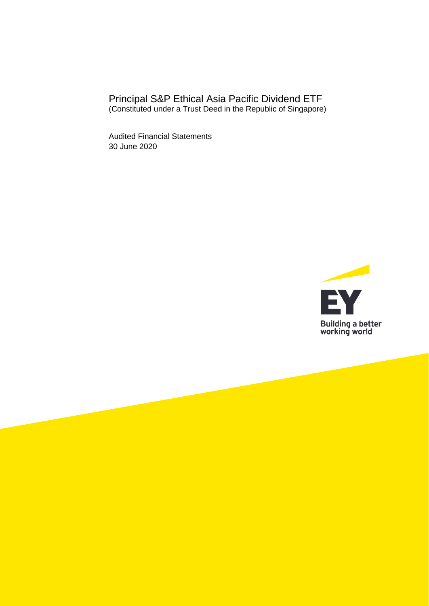Audited Financial Statements 30 June 2020

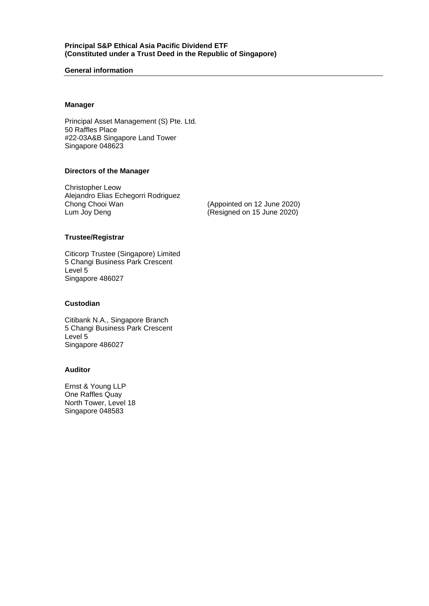#### **General information**

#### **Manager**

Principal Asset Management (S) Pte. Ltd. 50 Raffles Place #22-03A&B Singapore Land Tower Singapore 048623

### **Directors of the Manager**

Christopher Leow Alejandro Elias Echegorri Rodriguez Lum Joy Deng (Resigned on 15 June 2020)

(Appointed on 12 June 2020)

### **Trustee/Registrar**

Citicorp Trustee (Singapore) Limited 5 Changi Business Park Crescent Level 5 Singapore 486027

### **Custodian**

Citibank N.A., Singapore Branch 5 Changi Business Park Crescent Level 5 Singapore 486027

#### **Auditor**

Ernst & Young LLP One Raffles Quay North Tower, Level 18 Singapore 048583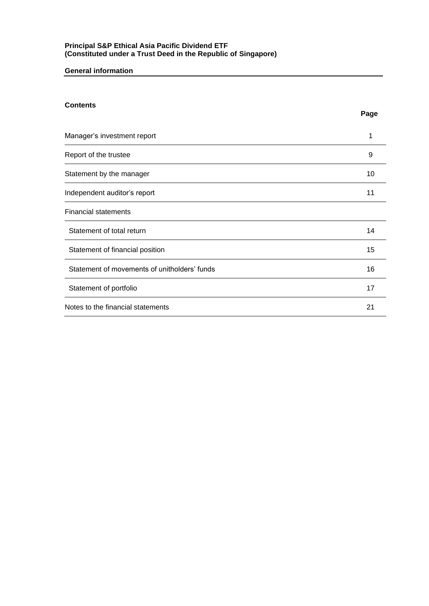# **General information**

#### **Contents**

|                                              | Page |
|----------------------------------------------|------|
| Manager's investment report                  | 1    |
| Report of the trustee                        | 9    |
| Statement by the manager                     | 10   |
| Independent auditor's report                 | 11   |
| <b>Financial statements</b>                  |      |
| Statement of total return                    | 14   |
| Statement of financial position              | 15   |
| Statement of movements of unitholders' funds | 16   |
| Statement of portfolio                       | 17   |
| Notes to the financial statements            | 21   |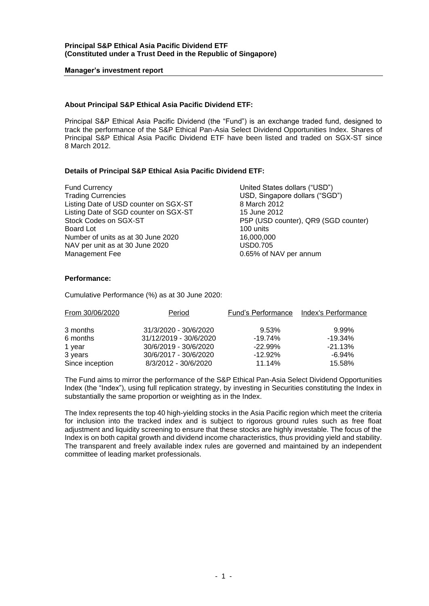### **About Principal S&P Ethical Asia Pacific Dividend ETF:**

Principal S&P Ethical Asia Pacific Dividend (the "Fund") is an exchange traded fund, designed to track the performance of the S&P Ethical Pan-Asia Select Dividend Opportunities Index. Shares of Principal S&P Ethical Asia Pacific Dividend ETF have been listed and traded on SGX-ST since 8 March 2012.

### **Details of Principal S&P Ethical Asia Pacific Dividend ETF:**

| <b>Fund Currency</b>                  | United States dollars ("USD")        |
|---------------------------------------|--------------------------------------|
| <b>Trading Currencies</b>             | USD, Singapore dollars ("SGD")       |
| Listing Date of USD counter on SGX-ST | 8 March 2012                         |
| Listing Date of SGD counter on SGX-ST | 15 June 2012                         |
| Stock Codes on SGX-ST                 | P5P (USD counter), QR9 (SGD counter) |
| Board Lot                             | 100 units                            |
| Number of units as at 30 June 2020    | 16,000,000                           |
| NAV per unit as at 30 June 2020       | <b>USD0.705</b>                      |
| Management Fee                        | 0.65% of NAV per annum               |

### **Performance:**

Cumulative Performance (%) as at 30 June 2020:

| From 30/06/2020 | Period                 | <b>Fund's Performance</b> | Index's Performance |
|-----------------|------------------------|---------------------------|---------------------|
| 3 months        | 31/3/2020 - 30/6/2020  | 9.53%                     | 9.99%               |
| 6 months        | 31/12/2019 - 30/6/2020 | $-19.74\%$                | $-19.34%$           |
| 1 year          | 30/6/2019 - 30/6/2020  | $-22.99\%$                | $-21.13%$           |
| 3 years         | 30/6/2017 - 30/6/2020  | $-12.92\%$                | -6.94%              |
| Since inception | 8/3/2012 - 30/6/2020   | 11.14%                    | 15.58%              |

The Fund aims to mirror the performance of the S&P Ethical Pan-Asia Select Dividend Opportunities Index (the "Index"), using full replication strategy, by investing in Securities constituting the Index in substantially the same proportion or weighting as in the Index.

The Index represents the top 40 high-yielding stocks in the Asia Pacific region which meet the criteria for inclusion into the tracked index and is subject to rigorous ground rules such as free float adjustment and liquidity screening to ensure that these stocks are highly investable. The focus of the Index is on both capital growth and dividend income characteristics, thus providing yield and stability. The transparent and freely available index rules are governed and maintained by an independent committee of leading market professionals.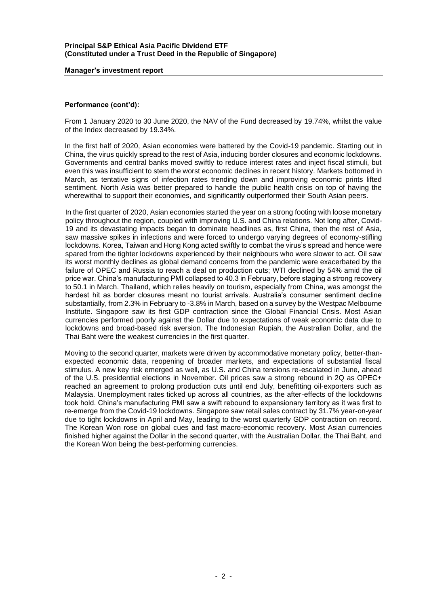**Manager's investment report**

### **Performance (cont'd):**

From 1 January 2020 to 30 June 2020, the NAV of the Fund decreased by 19.74%, whilst the value of the Index decreased by 19.34%.

In the first half of 2020, Asian economies were battered by the Covid-19 pandemic. Starting out in China, the virus quickly spread to the rest of Asia, inducing border closures and economic lockdowns. Governments and central banks moved swiftly to reduce interest rates and inject fiscal stimuli, but even this was insufficient to stem the worst economic declines in recent history. Markets bottomed in March, as tentative signs of infection rates trending down and improving economic prints lifted sentiment. North Asia was better prepared to handle the public health crisis on top of having the wherewithal to support their economies, and significantly outperformed their South Asian peers.

In the first quarter of 2020, Asian economies started the year on a strong footing with loose monetary policy throughout the region, coupled with improving U.S. and China relations. Not long after, Covid-19 and its devastating impacts began to dominate headlines as, first China, then the rest of Asia, saw massive spikes in infections and were forced to undergo varying degrees of economy-stifling lockdowns. Korea, Taiwan and Hong Kong acted swiftly to combat the virus's spread and hence were spared from the tighter lockdowns experienced by their neighbours who were slower to act. Oil saw its worst monthly declines as global demand concerns from the pandemic were exacerbated by the failure of OPEC and Russia to reach a deal on production cuts; WTI declined by 54% amid the oil price war. China's manufacturing PMI collapsed to 40.3 in February, before staging a strong recovery to 50.1 in March. Thailand, which relies heavily on tourism, especially from China, was amongst the hardest hit as border closures meant no tourist arrivals. Australia's consumer sentiment decline substantially, from 2.3% in February to -3.8% in March, based on a survey by the Westpac Melbourne Institute. Singapore saw its first GDP contraction since the Global Financial Crisis. Most Asian currencies performed poorly against the Dollar due to expectations of weak economic data due to lockdowns and broad-based risk aversion. The Indonesian Rupiah, the Australian Dollar, and the Thai Baht were the weakest currencies in the first quarter.

Moving to the second quarter, markets were driven by accommodative monetary policy, better-thanexpected economic data, reopening of broader markets, and expectations of substantial fiscal stimulus. A new key risk emerged as well, as U.S. and China tensions re-escalated in June, ahead of the U.S. presidential elections in November. Oil prices saw a strong rebound in 2Q as OPEC+ reached an agreement to prolong production cuts until end July, benefitting oil-exporters such as Malaysia. Unemployment rates ticked up across all countries, as the after-effects of the lockdowns took hold. China's manufacturing PMI saw a swift rebound to expansionary territory as it was first to re-emerge from the Covid-19 lockdowns. Singapore saw retail sales contract by 31.7% year-on-year due to tight lockdowns in April and May, leading to the worst quarterly GDP contraction on record. The Korean Won rose on global cues and fast macro-economic recovery. Most Asian currencies finished higher against the Dollar in the second quarter, with the Australian Dollar, the Thai Baht, and the Korean Won being the best-performing currencies.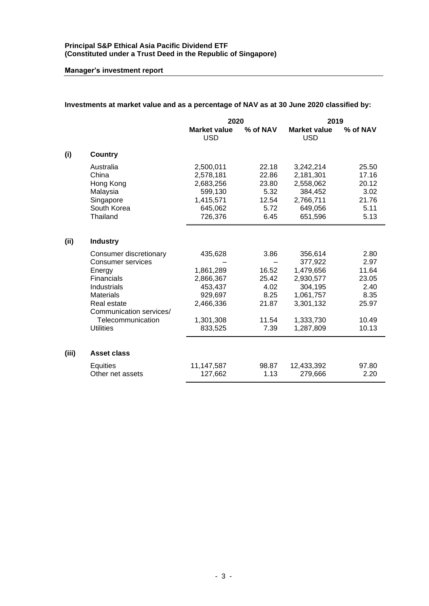# **Investments at market value and as a percentage of NAV as at 30 June 2020 classified by:**

|       |                         | 2020                              |          | 2019                              |          |
|-------|-------------------------|-----------------------------------|----------|-----------------------------------|----------|
|       |                         | <b>Market value</b><br><b>USD</b> | % of NAV | <b>Market value</b><br><b>USD</b> | % of NAV |
| (i)   | <b>Country</b>          |                                   |          |                                   |          |
|       | Australia               | 2,500,011                         | 22.18    | 3,242,214                         | 25.50    |
|       | China                   | 2,578,181                         | 22.86    | 2,181,301                         | 17.16    |
|       | Hong Kong               | 2,683,256                         | 23.80    | 2,558,062                         | 20.12    |
|       | Malaysia                | 599,130                           | 5.32     | 384,452                           | 3.02     |
|       | Singapore               | 1,415,571                         | 12.54    | 2,766,711                         | 21.76    |
|       | South Korea             | 645,062                           | 5.72     | 649,056                           | 5.11     |
|       | Thailand                | 726,376                           | 6.45     | 651,596                           | 5.13     |
| (ii)  | <b>Industry</b>         |                                   |          |                                   |          |
|       | Consumer discretionary  | 435,628                           | 3.86     | 356,614                           | 2.80     |
|       | Consumer services       |                                   |          | 377,922                           | 2.97     |
|       | Energy                  | 1,861,289                         | 16.52    | 1,479,656                         | 11.64    |
|       | Financials              | 2,866,367                         | 25.42    | 2,930,577                         | 23.05    |
|       | Industrials             | 453,437                           | 4.02     | 304,195                           | 2.40     |
|       | <b>Materials</b>        | 929,697                           | 8.25     | 1,061,757                         | 8.35     |
|       | Real estate             | 2,466,336                         | 21.87    | 3,301,132                         | 25.97    |
|       | Communication services/ |                                   |          |                                   |          |
|       | Telecommunication       | 1,301,308                         | 11.54    | 1,333,730                         | 10.49    |
|       | <b>Utilities</b>        | 833,525                           | 7.39     | 1,287,809                         | 10.13    |
| (iii) | <b>Asset class</b>      |                                   |          |                                   |          |
|       |                         |                                   |          |                                   |          |
|       | Equities                | 11,147,587                        | 98.87    | 12,433,392                        | 97.80    |
|       | Other net assets        | 127,662                           | 1.13     | 279,666                           | 2.20     |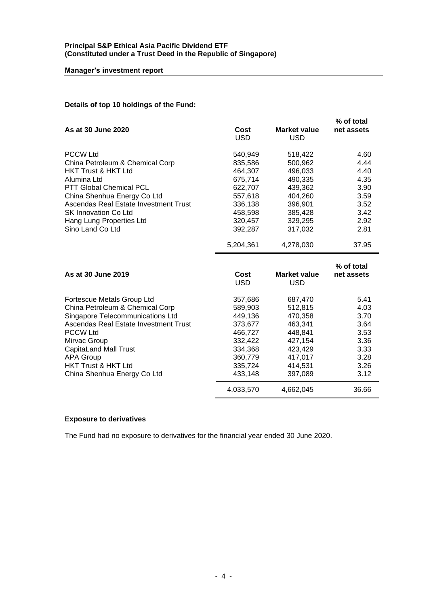# **Details of top 10 holdings of the Fund:**

|                                                                                  |                    |                                   | % of total               |
|----------------------------------------------------------------------------------|--------------------|-----------------------------------|--------------------------|
| As at 30 June 2020                                                               | Cost<br><b>USD</b> | <b>Market value</b><br><b>USD</b> | net assets               |
| <b>PCCW Ltd</b>                                                                  | 540,949            | 518,422                           | 4.60                     |
| China Petroleum & Chemical Corp                                                  | 835,586            | 500,962                           | 4.44                     |
| <b>HKT Trust &amp; HKT Ltd</b>                                                   | 464,307            | 496,033                           | 4.40                     |
| Alumina Ltd                                                                      | 675,714            | 490,335                           | 4.35                     |
| <b>PTT Global Chemical PCL</b>                                                   | 622,707            | 439,362                           | 3.90                     |
| China Shenhua Energy Co Ltd                                                      | 557,618            | 404,260                           | 3.59                     |
| <b>Ascendas Real Estate Investment Trust</b>                                     | 336,138            | 396,901                           | 3.52                     |
| <b>SK Innovation Co Ltd</b>                                                      | 458,598            | 385,428                           | 3.42                     |
| Hang Lung Properties Ltd                                                         | 320,457            | 329,295                           | 2.92                     |
| Sino Land Co Ltd                                                                 | 392,287            | 317,032                           | 2.81                     |
|                                                                                  | 5,204,361          | 4,278,030                         | 37.95                    |
|                                                                                  |                    |                                   |                          |
| As at 30 June 2019                                                               | Cost<br><b>USD</b> | <b>Market value</b><br><b>USD</b> | % of total<br>net assets |
|                                                                                  |                    |                                   |                          |
| Fortescue Metals Group Ltd                                                       | 357,686            | 687,470                           | 5.41                     |
| China Petroleum & Chemical Corp                                                  | 589,903            | 512,815                           | 4.03                     |
| Singapore Telecommunications Ltd<br><b>Ascendas Real Estate Investment Trust</b> | 449,136            | 470,358                           | 3.70                     |
| <b>PCCW Ltd</b>                                                                  | 373,677            | 463,341<br>448,841                | 3.64<br>3.53             |
|                                                                                  | 466,727<br>332,422 | 427,154                           | 3.36                     |
| Mirvac Group<br><b>CapitaLand Mall Trust</b>                                     | 334,368            | 423,429                           | 3.33                     |
| <b>APA Group</b>                                                                 | 360,779            | 417,017                           | 3.28                     |
| <b>HKT Trust &amp; HKT Ltd</b>                                                   | 335,724            | 414,531                           | 3.26                     |
| China Shenhua Energy Co Ltd                                                      | 433,148            | 397,089                           | 3.12                     |

### **Exposure to derivatives**

The Fund had no exposure to derivatives for the financial year ended 30 June 2020.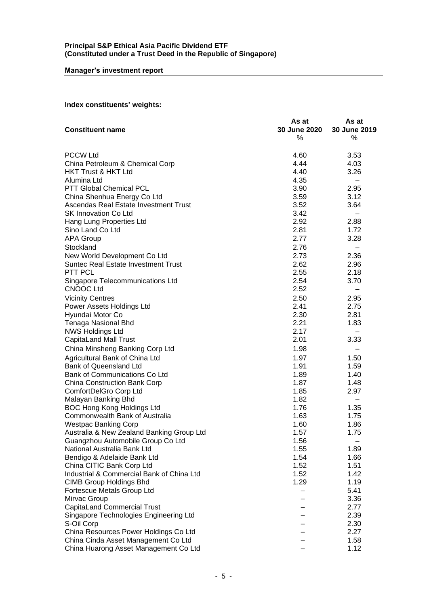# **Index constituents' weights:**

| <b>Constituent name</b>                                                  | As at<br>30 June 2020<br>% | As at<br>30 June 2019<br>% |
|--------------------------------------------------------------------------|----------------------------|----------------------------|
| <b>PCCW Ltd</b>                                                          | 4.60                       | 3.53                       |
| China Petroleum & Chemical Corp                                          | 4.44                       | 4.03                       |
| <b>HKT Trust &amp; HKT Ltd</b>                                           | 4.40                       | 3.26                       |
| Alumina Ltd                                                              | 4.35                       |                            |
| <b>PTT Global Chemical PCL</b>                                           | 3.90                       | 2.95                       |
| China Shenhua Energy Co Ltd                                              | 3.59                       | 3.12                       |
| <b>Ascendas Real Estate Investment Trust</b>                             | 3.52                       | 3.64                       |
| <b>SK Innovation Co Ltd</b>                                              | 3.42                       |                            |
| Hang Lung Properties Ltd                                                 | 2.92                       | 2.88                       |
| Sino Land Co Ltd                                                         | 2.81                       | 1.72                       |
| <b>APA Group</b>                                                         | 2.77                       | 3.28                       |
| Stockland                                                                | 2.76                       |                            |
| New World Development Co Ltd                                             | 2.73                       | 2.36                       |
| <b>Suntec Real Estate Investment Trust</b>                               | 2.62                       | 2.96                       |
| PTT PCL                                                                  | 2.55                       | 2.18                       |
| Singapore Telecommunications Ltd                                         | 2.54                       | 3.70                       |
| <b>CNOOC Ltd</b>                                                         | 2.52                       |                            |
| <b>Vicinity Centres</b>                                                  | 2.50                       | 2.95                       |
| Power Assets Holdings Ltd                                                | 2.41                       | 2.75                       |
| Hyundai Motor Co                                                         | 2.30                       | 2.81                       |
| <b>Tenaga Nasional Bhd</b>                                               | 2.21                       | 1.83                       |
| <b>NWS Holdings Ltd</b>                                                  | 2.17                       |                            |
| <b>CapitaLand Mall Trust</b>                                             | 2.01                       | 3.33                       |
| China Minsheng Banking Corp Ltd                                          | 1.98                       | $\sim$                     |
| Agricultural Bank of China Ltd                                           | 1.97                       | 1.50                       |
| <b>Bank of Queensland Ltd</b>                                            | 1.91                       | 1.59                       |
| Bank of Communications Co Ltd                                            | 1.89                       | 1.40                       |
| China Construction Bank Corp                                             | 1.87                       | 1.48                       |
| ComfortDelGro Corp Ltd                                                   | 1.85                       | 2.97                       |
| Malayan Banking Bhd                                                      | 1.82                       | $\overline{\phantom{0}}$   |
| <b>BOC Hong Kong Holdings Ltd</b><br>Commonwealth Bank of Australia      | 1.76<br>1.63               | 1.35                       |
|                                                                          |                            | 1.75                       |
| <b>Westpac Banking Corp</b><br>Australia & New Zealand Banking Group Ltd | 1.60<br>1.57               | 1.86<br>1.75               |
| Guangzhou Automobile Group Co Ltd                                        | 1.56                       |                            |
| National Australia Bank Ltd                                              | 1.55                       | 1.89                       |
| Bendigo & Adelaide Bank Ltd                                              | 1.54                       | 1.66                       |
| China CITIC Bank Corp Ltd                                                | 1.52                       | 1.51                       |
| Industrial & Commercial Bank of China Ltd                                | 1.52                       | 1.42                       |
| <b>CIMB Group Holdings Bhd</b>                                           | 1.29                       | 1.19                       |
| Fortescue Metals Group Ltd                                               |                            | 5.41                       |
| Mirvac Group                                                             |                            | 3.36                       |
| CapitaLand Commercial Trust                                              |                            | 2.77                       |
| Singapore Technologies Engineering Ltd                                   |                            | 2.39                       |
| S-Oil Corp                                                               |                            | 2.30                       |
| China Resources Power Holdings Co Ltd                                    |                            | 2.27                       |
| China Cinda Asset Management Co Ltd                                      |                            | 1.58                       |
| China Huarong Asset Management Co Ltd                                    |                            | 1.12                       |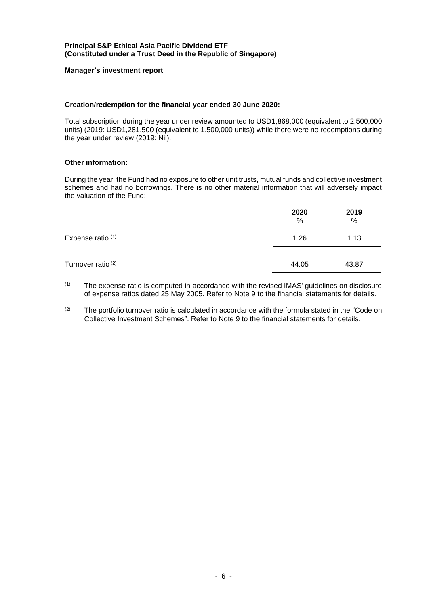#### **Creation/redemption for the financial year ended 30 June 2020:**

Total subscription during the year under review amounted to USD1,868,000 (equivalent to 2,500,000 units) (2019: USD1,281,500 (equivalent to 1,500,000 units)) while there were no redemptions during the year under review (2019: Nil).

#### **Other information:**

During the year, the Fund had no exposure to other unit trusts, mutual funds and collective investment schemes and had no borrowings. There is no other material information that will adversely impact the valuation of the Fund:

|                               | 2020<br>% | 2019<br>% |
|-------------------------------|-----------|-----------|
| Expense ratio <sup>(1)</sup>  | 1.26      | 1.13      |
| Turnover ratio <sup>(2)</sup> | 44.05     | 43.87     |

- $(1)$  The expense ratio is computed in accordance with the revised IMAS' guidelines on disclosure of expense ratios dated 25 May 2005. Refer to Note 9 to the financial statements for details.
- <sup>(2)</sup> The portfolio turnover ratio is calculated in accordance with the formula stated in the "Code on Collective Investment Schemes". Refer to Note 9 to the financial statements for details.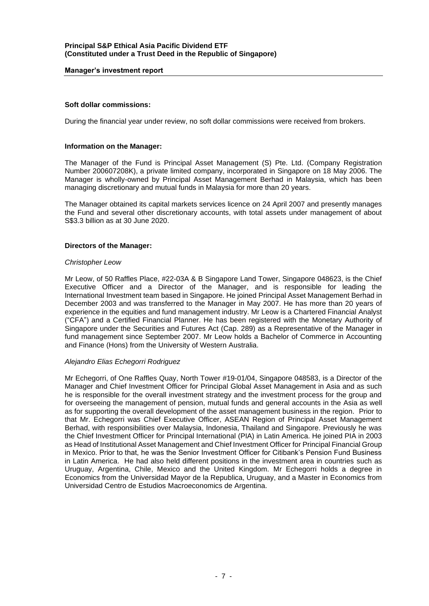#### **Manager's investment report**

#### **Soft dollar commissions:**

During the financial year under review, no soft dollar commissions were received from brokers.

### **Information on the Manager:**

The Manager of the Fund is Principal Asset Management (S) Pte. Ltd. (Company Registration Number 200607208K), a private limited company, incorporated in Singapore on 18 May 2006. The Manager is wholly-owned by Principal Asset Management Berhad in Malaysia, which has been managing discretionary and mutual funds in Malaysia for more than 20 years.

The Manager obtained its capital markets services licence on 24 April 2007 and presently manages the Fund and several other discretionary accounts, with total assets under management of about S\$3.3 billion as at 30 June 2020.

#### **Directors of the Manager:**

#### *Christopher Leow*

Mr Leow, of 50 Raffles Place, #22-03A & B Singapore Land Tower, Singapore 048623, is the Chief Executive Officer and a Director of the Manager, and is responsible for leading the International Investment team based in Singapore. He joined Principal Asset Management Berhad in December 2003 and was transferred to the Manager in May 2007. He has more than 20 years of experience in the equities and fund management industry. Mr Leow is a Chartered Financial Analyst ("CFA") and a Certified Financial Planner. He has been registered with the Monetary Authority of Singapore under the Securities and Futures Act (Cap. 289) as a Representative of the Manager in fund management since September 2007. Mr Leow holds a Bachelor of Commerce in Accounting and Finance (Hons) from the University of Western Australia.

#### *Alejandro Elias Echegorri Rodriguez*

Mr Echegorri, of One Raffles Quay, North Tower #19-01/04, Singapore 048583, is a Director of the Manager and Chief Investment Officer for Principal Global Asset Management in Asia and as such he is responsible for the overall investment strategy and the investment process for the group and for overseeing the management of pension, mutual funds and general accounts in the Asia as well as for supporting the overall development of the asset management business in the region. Prior to that Mr. Echegorri was Chief Executive Officer, ASEAN Region of Principal Asset Management Berhad, with responsibilities over Malaysia, Indonesia, Thailand and Singapore. Previously he was the Chief Investment Officer for Principal International (PIA) in Latin America. He joined PIA in 2003 as Head of Institutional Asset Management and Chief Investment Officer for Principal Financial Group in Mexico. Prior to that, he was the Senior Investment Officer for Citibank's Pension Fund Business in Latin America. He had also held different positions in the investment area in countries such as Uruguay, Argentina, Chile, Mexico and the United Kingdom. Mr Echegorri holds a degree in Economics from the Universidad Mayor de la Republica, Uruguay, and a Master in Economics from Universidad Centro de Estudios Macroeconomics de Argentina.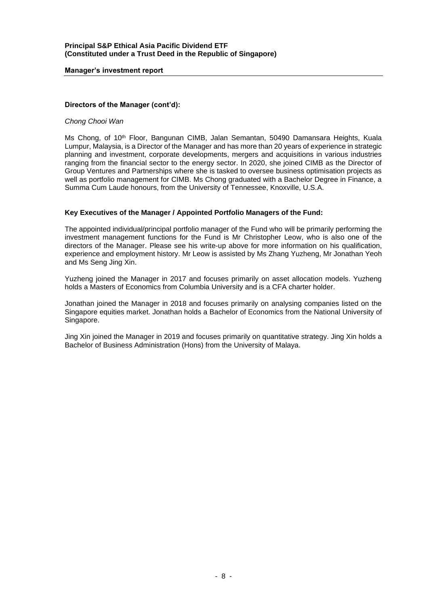#### **Manager's investment report**

### **Directors of the Manager (cont'd):**

#### *Chong Chooi Wan*

Ms Chong, of 10<sup>th</sup> Floor, Bangunan CIMB, Jalan Semantan, 50490 Damansara Heights, Kuala Lumpur, Malaysia, is a Director of the Manager and has more than 20 years of experience in strategic planning and investment, corporate developments, mergers and acquisitions in various industries ranging from the financial sector to the energy sector. In 2020, she joined CIMB as the Director of Group Ventures and Partnerships where she is tasked to oversee business optimisation projects as well as portfolio management for CIMB. Ms Chong graduated with a Bachelor Degree in Finance, a Summa Cum Laude honours, from the University of Tennessee, Knoxville, U.S.A.

### **Key Executives of the Manager / Appointed Portfolio Managers of the Fund:**

The appointed individual/principal portfolio manager of the Fund who will be primarily performing the investment management functions for the Fund is Mr Christopher Leow, who is also one of the directors of the Manager. Please see his write-up above for more information on his qualification, experience and employment history. Mr Leow is assisted by Ms Zhang Yuzheng, Mr Jonathan Yeoh and Ms Seng Jing Xin.

Yuzheng joined the Manager in 2017 and focuses primarily on asset allocation models. Yuzheng holds a Masters of Economics from Columbia University and is a CFA charter holder.

Jonathan joined the Manager in 2018 and focuses primarily on analysing companies listed on the Singapore equities market. Jonathan holds a Bachelor of Economics from the National University of Singapore.

Jing Xin joined the Manager in 2019 and focuses primarily on quantitative strategy. Jing Xin holds a Bachelor of Business Administration (Hons) from the University of Malaya.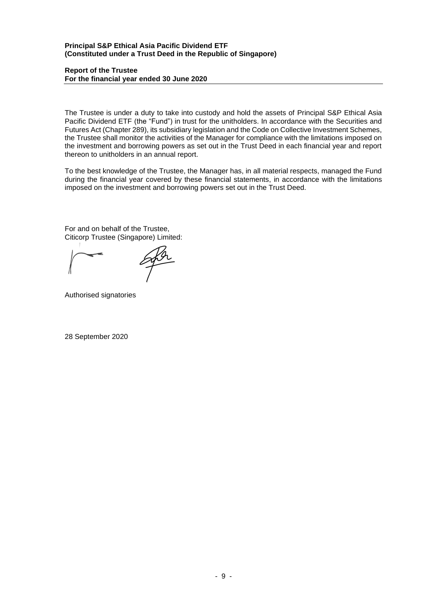### **Report of the Trustee For the financial year ended 30 June 2020**

The Trustee is under a duty to take into custody and hold the assets of Principal S&P Ethical Asia Pacific Dividend ETF (the "Fund") in trust for the unitholders. In accordance with the Securities and Futures Act (Chapter 289), its subsidiary legislation and the Code on Collective Investment Schemes, the Trustee shall monitor the activities of the Manager for compliance with the limitations imposed on the investment and borrowing powers as set out in the Trust Deed in each financial year and report thereon to unitholders in an annual report.

To the best knowledge of the Trustee, the Manager has, in all material respects, managed the Fund during the financial year covered by these financial statements, in accordance with the limitations imposed on the investment and borrowing powers set out in the Trust Deed.

For and on behalf of the Trustee, Citicorp Trustee (Singapore) Limited:

Authorised signatories

28 September 2020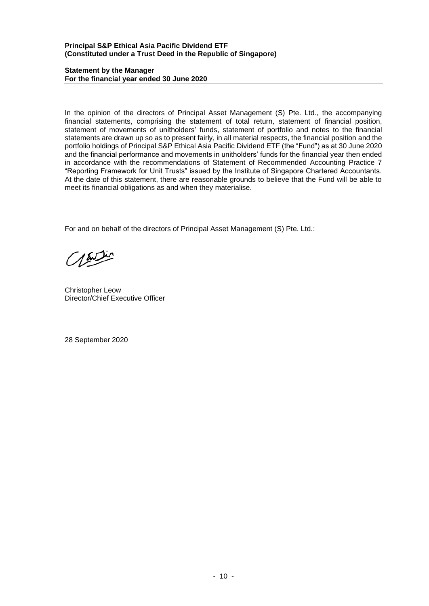### **Statement by the Manager For the financial year ended 30 June 2020**

In the opinion of the directors of Principal Asset Management (S) Pte. Ltd., the accompanying financial statements, comprising the statement of total return, statement of financial position, statement of movements of unitholders' funds, statement of portfolio and notes to the financial statements are drawn up so as to present fairly, in all material respects, the financial position and the portfolio holdings of Principal S&P Ethical Asia Pacific Dividend ETF (the "Fund") as at 30 June 2020 and the financial performance and movements in unitholders' funds for the financial year then ended in accordance with the recommendations of Statement of Recommended Accounting Practice 7 "Reporting Framework for Unit Trusts" issued by the Institute of Singapore Chartered Accountants. At the date of this statement, there are reasonable grounds to believe that the Fund will be able to meet its financial obligations as and when they materialise.

For and on behalf of the directors of Principal Asset Management (S) Pte. Ltd.:

فلكس المتعارض

Christopher Leow Director/Chief Executive Officer

28 September 2020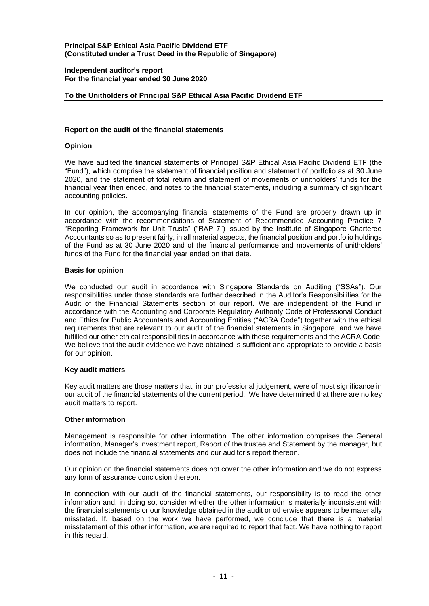#### **Independent auditor's report For the financial year ended 30 June 2020**

# **To the Unitholders of Principal S&P Ethical Asia Pacific Dividend ETF**

### **Report on the audit of the financial statements**

### **Opinion**

We have audited the financial statements of Principal S&P Ethical Asia Pacific Dividend ETF (the "Fund"), which comprise the statement of financial position and statement of portfolio as at 30 June 2020, and the statement of total return and statement of movements of unitholders' funds for the financial year then ended, and notes to the financial statements, including a summary of significant accounting policies.

In our opinion, the accompanying financial statements of the Fund are properly drawn up in accordance with the recommendations of Statement of Recommended Accounting Practice 7 "Reporting Framework for Unit Trusts" ("RAP 7") issued by the Institute of Singapore Chartered Accountants so as to present fairly, in all material aspects, the financial position and portfolio holdings of the Fund as at 30 June 2020 and of the financial performance and movements of unitholders' funds of the Fund for the financial year ended on that date.

### **Basis for opinion**

We conducted our audit in accordance with Singapore Standards on Auditing ("SSAs"). Our responsibilities under those standards are further described in the Auditor's Responsibilities for the Audit of the Financial Statements section of our report. We are independent of the Fund in accordance with the Accounting and Corporate Regulatory Authority Code of Professional Conduct and Ethics for Public Accountants and Accounting Entities ("ACRA Code") together with the ethical requirements that are relevant to our audit of the financial statements in Singapore, and we have fulfilled our other ethical responsibilities in accordance with these requirements and the ACRA Code. We believe that the audit evidence we have obtained is sufficient and appropriate to provide a basis for our opinion.

#### **Key audit matters**

Key audit matters are those matters that, in our professional judgement, were of most significance in our audit of the financial statements of the current period. We have determined that there are no key audit matters to report.

#### **Other information**

Management is responsible for other information. The other information comprises the General information, Manager's investment report, Report of the trustee and Statement by the manager, but does not include the financial statements and our auditor's report thereon.

Our opinion on the financial statements does not cover the other information and we do not express any form of assurance conclusion thereon.

In connection with our audit of the financial statements, our responsibility is to read the other information and, in doing so, consider whether the other information is materially inconsistent with the financial statements or our knowledge obtained in the audit or otherwise appears to be materially misstated. If, based on the work we have performed, we conclude that there is a material misstatement of this other information, we are required to report that fact. We have nothing to report in this regard.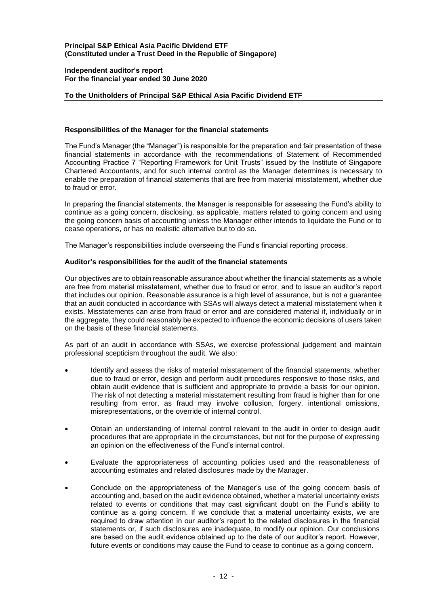#### **Independent auditor's report For the financial year ended 30 June 2020**

# **To the Unitholders of Principal S&P Ethical Asia Pacific Dividend ETF**

### **Responsibilities of the Manager for the financial statements**

The Fund's Manager (the "Manager") is responsible for the preparation and fair presentation of these financial statements in accordance with the recommendations of Statement of Recommended Accounting Practice 7 "Reporting Framework for Unit Trusts" issued by the Institute of Singapore Chartered Accountants, and for such internal control as the Manager determines is necessary to enable the preparation of financial statements that are free from material misstatement, whether due to fraud or error.

In preparing the financial statements, the Manager is responsible for assessing the Fund's ability to continue as a going concern, disclosing, as applicable, matters related to going concern and using the going concern basis of accounting unless the Manager either intends to liquidate the Fund or to cease operations, or has no realistic alternative but to do so.

The Manager's responsibilities include overseeing the Fund's financial reporting process.

### **Auditor's responsibilities for the audit of the financial statements**

Our objectives are to obtain reasonable assurance about whether the financial statements as a whole are free from material misstatement, whether due to fraud or error, and to issue an auditor's report that includes our opinion. Reasonable assurance is a high level of assurance, but is not a guarantee that an audit conducted in accordance with SSAs will always detect a material misstatement when it exists. Misstatements can arise from fraud or error and are considered material if, individually or in the aggregate, they could reasonably be expected to influence the economic decisions of users taken on the basis of these financial statements.

As part of an audit in accordance with SSAs, we exercise professional judgement and maintain professional scepticism throughout the audit. We also:

- Identify and assess the risks of material misstatement of the financial statements, whether due to fraud or error, design and perform audit procedures responsive to those risks, and obtain audit evidence that is sufficient and appropriate to provide a basis for our opinion. The risk of not detecting a material misstatement resulting from fraud is higher than for one resulting from error, as fraud may involve collusion, forgery, intentional omissions, misrepresentations, or the override of internal control.
- Obtain an understanding of internal control relevant to the audit in order to design audit procedures that are appropriate in the circumstances, but not for the purpose of expressing an opinion on the effectiveness of the Fund's internal control.
- Evaluate the appropriateness of accounting policies used and the reasonableness of accounting estimates and related disclosures made by the Manager.
- Conclude on the appropriateness of the Manager's use of the going concern basis of accounting and, based on the audit evidence obtained, whether a material uncertainty exists related to events or conditions that may cast significant doubt on the Fund's ability to continue as a going concern. If we conclude that a material uncertainty exists, we are required to draw attention in our auditor's report to the related disclosures in the financial statements or, if such disclosures are inadequate, to modify our opinion. Our conclusions are based on the audit evidence obtained up to the date of our auditor's report. However, future events or conditions may cause the Fund to cease to continue as a going concern.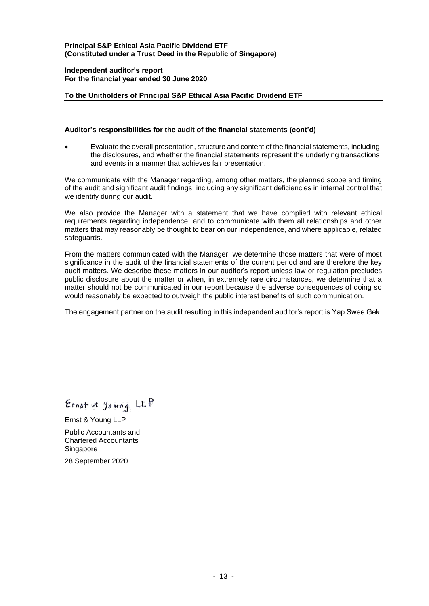### **Independent auditor's report For the financial year ended 30 June 2020**

# **To the Unitholders of Principal S&P Ethical Asia Pacific Dividend ETF**

### **Auditor's responsibilities for the audit of the financial statements (cont'd)**

• Evaluate the overall presentation, structure and content of the financial statements, including the disclosures, and whether the financial statements represent the underlying transactions and events in a manner that achieves fair presentation.

We communicate with the Manager regarding, among other matters, the planned scope and timing of the audit and significant audit findings, including any significant deficiencies in internal control that we identify during our audit.

We also provide the Manager with a statement that we have complied with relevant ethical requirements regarding independence, and to communicate with them all relationships and other matters that may reasonably be thought to bear on our independence, and where applicable, related safeguards.

From the matters communicated with the Manager, we determine those matters that were of most significance in the audit of the financial statements of the current period and are therefore the key audit matters. We describe these matters in our auditor's report unless law or regulation precludes public disclosure about the matter or when, in extremely rare circumstances, we determine that a matter should not be communicated in our report because the adverse consequences of doing so would reasonably be expected to outweigh the public interest benefits of such communication.

The engagement partner on the audit resulting in this independent auditor's report is Yap Swee Gek.

Ernat a young LLP

Ernst & Young LLP Public Accountants and Chartered Accountants Singapore 28 September 2020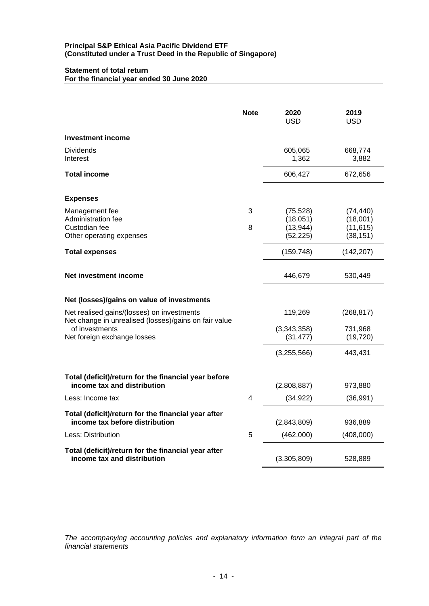# **Statement of total return**

**For the financial year ended 30 June 2020**

|                                                                                                     | <b>Note</b> | 2020<br><b>USD</b>                              | 2019<br><b>USD</b>                              |
|-----------------------------------------------------------------------------------------------------|-------------|-------------------------------------------------|-------------------------------------------------|
| <b>Investment income</b>                                                                            |             |                                                 |                                                 |
| <b>Dividends</b><br>Interest                                                                        |             | 605,065<br>1,362                                | 668,774<br>3,882                                |
| <b>Total income</b>                                                                                 |             | 606,427                                         | 672,656                                         |
| <b>Expenses</b>                                                                                     |             |                                                 |                                                 |
| Management fee<br>Administration fee<br>Custodian fee<br>Other operating expenses                   | 3<br>8      | (75, 528)<br>(18,051)<br>(13, 944)<br>(52, 225) | (74, 440)<br>(18,001)<br>(11, 615)<br>(38, 151) |
| <b>Total expenses</b>                                                                               |             | (159, 748)                                      | (142, 207)                                      |
| Net investment income                                                                               |             | 446,679                                         | 530,449                                         |
| Net (losses)/gains on value of investments                                                          |             |                                                 |                                                 |
| Net realised gains/(losses) on investments<br>Net change in unrealised (losses)/gains on fair value |             | 119,269                                         | (268, 817)                                      |
| of investments<br>Net foreign exchange losses                                                       |             | (3,343,358)<br>(31, 477)                        | 731,968<br>(19, 720)                            |
|                                                                                                     |             | (3,255,566)                                     | 443,431                                         |
| Total (deficit)/return for the financial year before                                                |             |                                                 |                                                 |
| income tax and distribution                                                                         |             | (2,808,887)                                     | 973,880                                         |
| Less: Income tax                                                                                    | 4           | (34, 922)                                       | (36, 991)                                       |
| Total (deficit)/return for the financial year after<br>income tax before distribution               |             | (2,843,809)                                     | 936,889                                         |
| Less: Distribution                                                                                  | 5           | (462,000)                                       | (408,000)                                       |
| Total (deficit)/return for the financial year after<br>income tax and distribution                  |             | (3,305,809)                                     | 528,889                                         |

*The accompanying accounting policies and explanatory information form an integral part of the financial statements*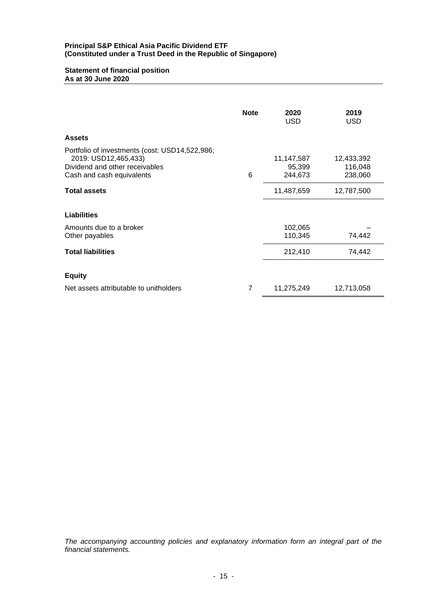### **Statement of financial position As at 30 June 2020**

|                                                                                                                                       | <b>Note</b>    | 2020<br><b>USD</b>              | 2019<br><b>USD</b>               |
|---------------------------------------------------------------------------------------------------------------------------------------|----------------|---------------------------------|----------------------------------|
| <b>Assets</b>                                                                                                                         |                |                                 |                                  |
| Portfolio of investments (cost: USD14,522,986;<br>2019: USD12,465,433)<br>Dividend and other receivables<br>Cash and cash equivalents | 6              | 11,147,587<br>95,399<br>244,673 | 12,433,392<br>116,048<br>238,060 |
| <b>Total assets</b>                                                                                                                   |                | 11,487,659                      | 12,787,500                       |
| Liabilities                                                                                                                           |                |                                 |                                  |
| Amounts due to a broker<br>Other payables                                                                                             |                | 102,065<br>110,345              | 74,442                           |
| <b>Total liabilities</b>                                                                                                              |                | 212,410                         | 74,442                           |
| <b>Equity</b>                                                                                                                         |                |                                 |                                  |
| Net assets attributable to unitholders                                                                                                | $\overline{7}$ | 11,275,249                      | 12,713,058                       |

*The accompanying accounting policies and explanatory information form an integral part of the financial statements.*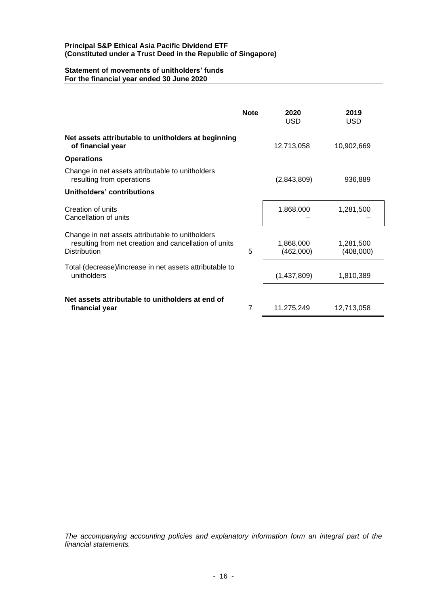# **Statement of movements of unitholders' funds For the financial year ended 30 June 2020**

|                                                                                                                                  | <b>Note</b>    | 2020<br><b>USD</b>     | 2019<br><b>USD</b>     |
|----------------------------------------------------------------------------------------------------------------------------------|----------------|------------------------|------------------------|
| Net assets attributable to unitholders at beginning<br>of financial year                                                         |                | 12,713,058             | 10,902,669             |
| <b>Operations</b>                                                                                                                |                |                        |                        |
| Change in net assets attributable to unitholders<br>resulting from operations                                                    |                | (2,843,809)            | 936,889                |
| Unitholders' contributions                                                                                                       |                |                        |                        |
| Creation of units<br>Cancellation of units                                                                                       |                | 1,868,000              | 1,281,500              |
| Change in net assets attributable to unitholders<br>resulting from net creation and cancellation of units<br><b>Distribution</b> | 5              | 1,868,000<br>(462,000) | 1,281,500<br>(408,000) |
| Total (decrease)/increase in net assets attributable to<br>unitholders                                                           |                | (1,437,809)            | 1,810,389              |
| Net assets attributable to unitholders at end of<br>financial year                                                               | $\overline{7}$ | 11,275,249             | 12,713,058             |

*The accompanying accounting policies and explanatory information form an integral part of the financial statements.*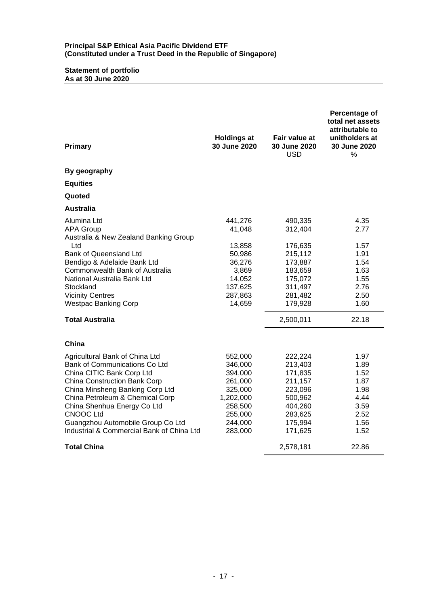#### **Statement of portfolio As at 30 June 2020**

| <b>Primary</b>                                                                                            | <b>Holdings at</b><br>30 June 2020 | Fair value at<br>30 June 2020<br><b>USD</b> | Percentage of<br>total net assets<br>attributable to<br>unitholders at<br>30 June 2020<br>$\%$ |
|-----------------------------------------------------------------------------------------------------------|------------------------------------|---------------------------------------------|------------------------------------------------------------------------------------------------|
| By geography                                                                                              |                                    |                                             |                                                                                                |
| <b>Equities</b>                                                                                           |                                    |                                             |                                                                                                |
| Quoted                                                                                                    |                                    |                                             |                                                                                                |
| <b>Australia</b>                                                                                          |                                    |                                             |                                                                                                |
| Alumina Ltd<br><b>APA Group</b><br>Australia & New Zealand Banking Group                                  | 441,276<br>41,048                  | 490,335<br>312,404                          | 4.35<br>2.77                                                                                   |
| Ltd<br>Bank of Queensland Ltd<br>Bendigo & Adelaide Bank Ltd                                              | 13,858<br>50,986<br>36,276         | 176,635<br>215,112<br>173,887               | 1.57<br>1.91<br>1.54                                                                           |
| Commonwealth Bank of Australia<br>National Australia Bank Ltd<br>Stockland                                | 3,869<br>14,052<br>137,625         | 183,659<br>175,072<br>311,497               | 1.63<br>1.55<br>2.76                                                                           |
| <b>Vicinity Centres</b><br><b>Westpac Banking Corp</b>                                                    | 287,863<br>14,659                  | 281,482<br>179,928                          | 2.50<br>1.60                                                                                   |
| <b>Total Australia</b>                                                                                    |                                    | 2,500,011                                   | 22.18                                                                                          |
| China                                                                                                     |                                    |                                             |                                                                                                |
| Agricultural Bank of China Ltd<br>Bank of Communications Co Ltd<br>China CITIC Bank Corp Ltd              | 552,000<br>346,000<br>394,000      | 222,224<br>213,403<br>171,835               | 1.97<br>1.89<br>1.52                                                                           |
| <b>China Construction Bank Corp</b><br>China Minsheng Banking Corp Ltd<br>China Petroleum & Chemical Corp | 261,000<br>325,000<br>1,202,000    | 211,157<br>223,096<br>500,962               | 1.87<br>1.98<br>4.44                                                                           |
| China Shenhua Energy Co Ltd<br><b>CNOOC Ltd</b>                                                           | 258,500<br>255,000                 | 404,260<br>283,625                          | 3.59<br>2.52                                                                                   |
| Guangzhou Automobile Group Co Ltd<br>Industrial & Commercial Bank of China Ltd                            | 244,000<br>283,000                 | 175,994<br>171,625                          | 1.56<br>1.52                                                                                   |
| <b>Total China</b>                                                                                        |                                    | 2,578,181                                   | 22.86                                                                                          |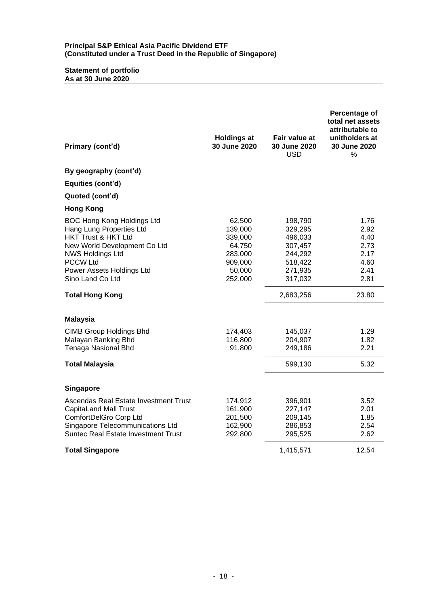#### **Statement of portfolio As at 30 June 2020**

| Primary (cont'd)                                                                                                                                                                                                               | <b>Holdings at</b><br>30 June 2020                                                | Fair value at<br>30 June 2020<br><b>USD</b>                                          | Percentage of<br>total net assets<br>attributable to<br>unitholders at<br>30 June 2020<br>$\%$ |
|--------------------------------------------------------------------------------------------------------------------------------------------------------------------------------------------------------------------------------|-----------------------------------------------------------------------------------|--------------------------------------------------------------------------------------|------------------------------------------------------------------------------------------------|
| By geography (cont'd)                                                                                                                                                                                                          |                                                                                   |                                                                                      |                                                                                                |
| Equities (cont'd)                                                                                                                                                                                                              |                                                                                   |                                                                                      |                                                                                                |
| Quoted (cont'd)                                                                                                                                                                                                                |                                                                                   |                                                                                      |                                                                                                |
| <b>Hong Kong</b>                                                                                                                                                                                                               |                                                                                   |                                                                                      |                                                                                                |
| <b>BOC Hong Kong Holdings Ltd</b><br>Hang Lung Properties Ltd<br><b>HKT Trust &amp; HKT Ltd</b><br>New World Development Co Ltd<br><b>NWS Holdings Ltd</b><br><b>PCCW Ltd</b><br>Power Assets Holdings Ltd<br>Sino Land Co Ltd | 62,500<br>139,000<br>339,000<br>64,750<br>283,000<br>909,000<br>50,000<br>252,000 | 198,790<br>329,295<br>496,033<br>307,457<br>244,292<br>518,422<br>271,935<br>317,032 | 1.76<br>2.92<br>4.40<br>2.73<br>2.17<br>4.60<br>2.41<br>2.81                                   |
| <b>Total Hong Kong</b>                                                                                                                                                                                                         |                                                                                   | 2,683,256                                                                            | 23.80                                                                                          |
| <b>Malaysia</b><br><b>CIMB Group Holdings Bhd</b>                                                                                                                                                                              | 174,403                                                                           | 145,037                                                                              | 1.29                                                                                           |
| Malayan Banking Bhd<br><b>Tenaga Nasional Bhd</b>                                                                                                                                                                              | 116,800<br>91,800                                                                 | 204,907<br>249,186                                                                   | 1.82<br>2.21                                                                                   |
| <b>Total Malaysia</b>                                                                                                                                                                                                          |                                                                                   | 599,130                                                                              | 5.32                                                                                           |
| <b>Singapore</b>                                                                                                                                                                                                               |                                                                                   |                                                                                      |                                                                                                |
| <b>Ascendas Real Estate Investment Trust</b><br><b>CapitaLand Mall Trust</b><br>ComfortDelGro Corp Ltd<br>Singapore Telecommunications Ltd<br><b>Suntec Real Estate Investment Trust</b>                                       | 174,912<br>161,900<br>201,500<br>162,900<br>292,800                               | 396,901<br>227,147<br>209,145<br>286,853<br>295,525                                  | 3.52<br>2.01<br>1.85<br>2.54<br>2.62                                                           |
| <b>Total Singapore</b>                                                                                                                                                                                                         |                                                                                   | 1,415,571                                                                            | 12.54                                                                                          |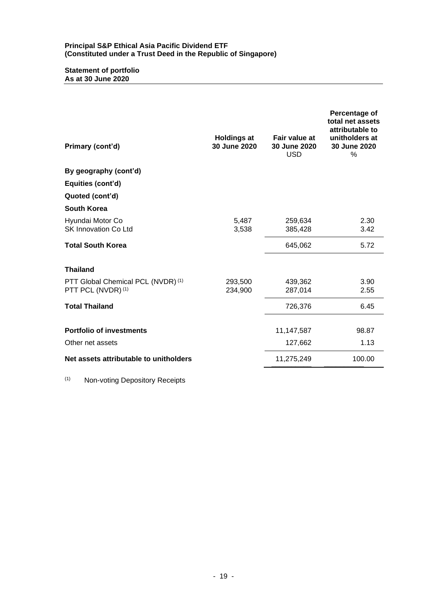#### **Statement of portfolio As at 30 June 2020**

| Primary (cont'd)                                                               | <b>Holdings at</b><br>30 June 2020 | Fair value at<br>30 June 2020<br><b>USD</b> | Percentage of<br>total net assets<br>attributable to<br>unitholders at<br>30 June 2020<br>$\frac{0}{0}$ |
|--------------------------------------------------------------------------------|------------------------------------|---------------------------------------------|---------------------------------------------------------------------------------------------------------|
| By geography (cont'd)                                                          |                                    |                                             |                                                                                                         |
| Equities (cont'd)                                                              |                                    |                                             |                                                                                                         |
| Quoted (cont'd)                                                                |                                    |                                             |                                                                                                         |
| <b>South Korea</b>                                                             |                                    |                                             |                                                                                                         |
| Hyundai Motor Co<br><b>SK Innovation Co Ltd</b>                                | 5,487<br>3,538                     | 259,634<br>385,428                          | 2.30<br>3.42                                                                                            |
| <b>Total South Korea</b>                                                       |                                    | 645,062                                     | 5.72                                                                                                    |
| <b>Thailand</b>                                                                |                                    |                                             |                                                                                                         |
| PTT Global Chemical PCL (NVDR) <sup>(1)</sup><br>PTT PCL (NVDR) <sup>(1)</sup> | 293,500<br>234,900                 | 439,362<br>287,014                          | 3.90<br>2.55                                                                                            |
| <b>Total Thailand</b>                                                          |                                    | 726,376                                     | 6.45                                                                                                    |
| <b>Portfolio of investments</b>                                                |                                    | 11,147,587                                  | 98.87                                                                                                   |
| Other net assets                                                               |                                    | 127,662                                     | 1.13                                                                                                    |
| Net assets attributable to unitholders                                         |                                    | 11,275,249                                  | 100.00                                                                                                  |

(1) Non-voting Depository Receipts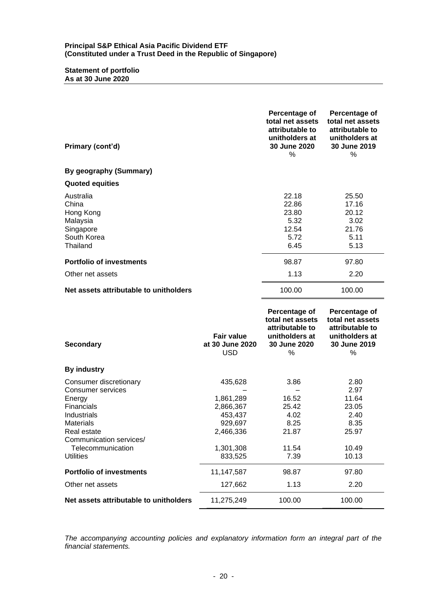#### **Statement of portfolio As at 30 June 2020**

| Primary (cont'd)                                                                    | Percentage of<br>total net assets<br>attributable to<br>unitholders at<br><b>30 June 2020</b><br>$\%$ | Percentage of<br>total net assets<br>attributable to<br>unitholders at<br>30 June 2019<br>$\%$ |
|-------------------------------------------------------------------------------------|-------------------------------------------------------------------------------------------------------|------------------------------------------------------------------------------------------------|
| By geography (Summary)                                                              |                                                                                                       |                                                                                                |
| <b>Quoted equities</b>                                                              |                                                                                                       |                                                                                                |
| Australia<br>China<br>Hong Kong<br>Malaysia<br>Singapore<br>South Korea<br>Thailand | 22.18<br>22.86<br>23.80<br>5.32<br>12.54<br>5.72<br>6.45                                              | 25.50<br>17.16<br>20.12<br>3.02<br>21.76<br>5.11<br>5.13                                       |
| <b>Portfolio of investments</b>                                                     | 98.87                                                                                                 | 97.80                                                                                          |
| Other net assets                                                                    | 1.13                                                                                                  | 2.20                                                                                           |
| Net assets attributable to unitholders                                              | 100.00                                                                                                | 100.00                                                                                         |

| <b>Secondary</b>                       | <b>Fair value</b><br>at 30 June 2020<br><b>USD</b> | Percentage of<br>total net assets<br>attributable to<br>unitholders at<br>30 June 2020<br>% | Percentage of<br>total net assets<br>attributable to<br>unitholders at<br>30 June 2019<br>$\%$ |
|----------------------------------------|----------------------------------------------------|---------------------------------------------------------------------------------------------|------------------------------------------------------------------------------------------------|
| <b>By industry</b>                     |                                                    |                                                                                             |                                                                                                |
| Consumer discretionary                 | 435,628                                            | 3.86                                                                                        | 2.80                                                                                           |
| Consumer services                      |                                                    |                                                                                             | 2.97                                                                                           |
| Energy                                 | 1,861,289                                          | 16.52                                                                                       | 11.64                                                                                          |
| <b>Financials</b>                      | 2,866,367                                          | 25.42                                                                                       | 23.05                                                                                          |
| Industrials                            | 453,437                                            | 4.02                                                                                        | 2.40                                                                                           |
| <b>Materials</b>                       | 929,697                                            | 8.25                                                                                        | 8.35                                                                                           |
| Real estate                            | 2,466,336                                          | 21.87                                                                                       | 25.97                                                                                          |
| Communication services/                |                                                    |                                                                                             |                                                                                                |
| Telecommunication                      | 1,301,308                                          | 11.54                                                                                       | 10.49                                                                                          |
| <b>Utilities</b>                       | 833,525                                            | 7.39                                                                                        | 10.13                                                                                          |
| <b>Portfolio of investments</b>        | 11,147,587                                         | 98.87                                                                                       | 97.80                                                                                          |
| Other net assets                       | 127,662                                            | 1.13                                                                                        | 2.20                                                                                           |
| Net assets attributable to unitholders | 11,275,249                                         | 100.00                                                                                      | 100.00                                                                                         |

*The accompanying accounting policies and explanatory information form an integral part of the financial statements.*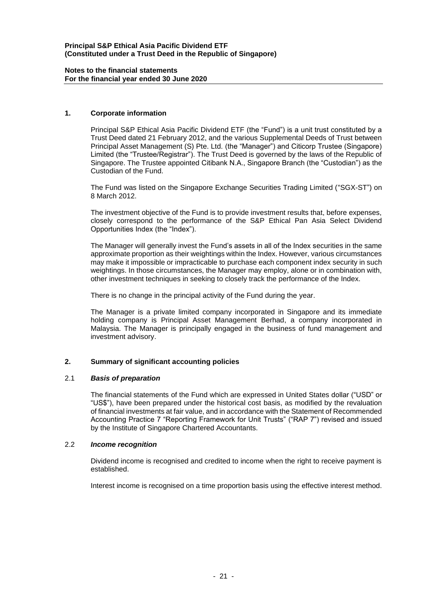### **Notes to the financial statements For the financial year ended 30 June 2020**

# **1. Corporate information**

Principal S&P Ethical Asia Pacific Dividend ETF (the "Fund") is a unit trust constituted by a Trust Deed dated 21 February 2012, and the various Supplemental Deeds of Trust between Principal Asset Management (S) Pte. Ltd. (the "Manager") and Citicorp Trustee (Singapore) Limited (the "Trustee/Registrar"). The Trust Deed is governed by the laws of the Republic of Singapore. The Trustee appointed Citibank N.A., Singapore Branch (the "Custodian") as the Custodian of the Fund.

The Fund was listed on the Singapore Exchange Securities Trading Limited ("SGX-ST") on 8 March 2012.

The investment objective of the Fund is to provide investment results that, before expenses, closely correspond to the performance of the S&P Ethical Pan Asia Select Dividend Opportunities Index (the "Index").

The Manager will generally invest the Fund's assets in all of the Index securities in the same approximate proportion as their weightings within the Index. However, various circumstances may make it impossible or impracticable to purchase each component index security in such weightings. In those circumstances, the Manager may employ, alone or in combination with, other investment techniques in seeking to closely track the performance of the Index.

There is no change in the principal activity of the Fund during the year.

The Manager is a private limited company incorporated in Singapore and its immediate holding company is Principal Asset Management Berhad, a company incorporated in Malaysia. The Manager is principally engaged in the business of fund management and investment advisory.

# **2. Summary of significant accounting policies**

# 2.1 *Basis of preparation*

The financial statements of the Fund which are expressed in United States dollar ("USD" or "US\$"), have been prepared under the historical cost basis, as modified by the revaluation of financial investments at fair value, and in accordance with the Statement of Recommended Accounting Practice 7 "Reporting Framework for Unit Trusts" ("RAP 7") revised and issued by the Institute of Singapore Chartered Accountants.

#### 2.2 *Income recognition*

Dividend income is recognised and credited to income when the right to receive payment is established.

Interest income is recognised on a time proportion basis using the effective interest method.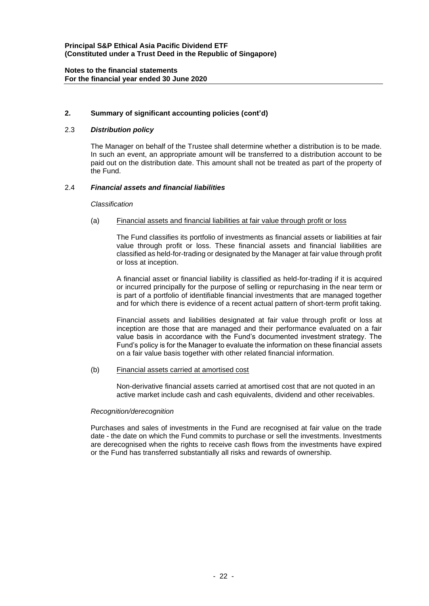### **Notes to the financial statements For the financial year ended 30 June 2020**

# **2. Summary of significant accounting policies (cont'd)**

# 2.3 *Distribution policy*

The Manager on behalf of the Trustee shall determine whether a distribution is to be made. In such an event, an appropriate amount will be transferred to a distribution account to be paid out on the distribution date. This amount shall not be treated as part of the property of the Fund.

# 2.4 *Financial assets and financial liabilities*

### *Classification*

# (a) Financial assets and financial liabilities at fair value through profit or loss

The Fund classifies its portfolio of investments as financial assets or liabilities at fair value through profit or loss. These financial assets and financial liabilities are classified as held-for-trading or designated by the Manager at fair value through profit or loss at inception.

A financial asset or financial liability is classified as held-for-trading if it is acquired or incurred principally for the purpose of selling or repurchasing in the near term or is part of a portfolio of identifiable financial investments that are managed together and for which there is evidence of a recent actual pattern of short-term profit taking.

Financial assets and liabilities designated at fair value through profit or loss at inception are those that are managed and their performance evaluated on a fair value basis in accordance with the Fund's documented investment strategy. The Fund's policy is for the Manager to evaluate the information on these financial assets on a fair value basis together with other related financial information.

#### (b) Financial assets carried at amortised cost

Non-derivative financial assets carried at amortised cost that are not quoted in an active market include cash and cash equivalents, dividend and other receivables.

# *Recognition/derecognition*

Purchases and sales of investments in the Fund are recognised at fair value on the trade date - the date on which the Fund commits to purchase or sell the investments. Investments are derecognised when the rights to receive cash flows from the investments have expired or the Fund has transferred substantially all risks and rewards of ownership.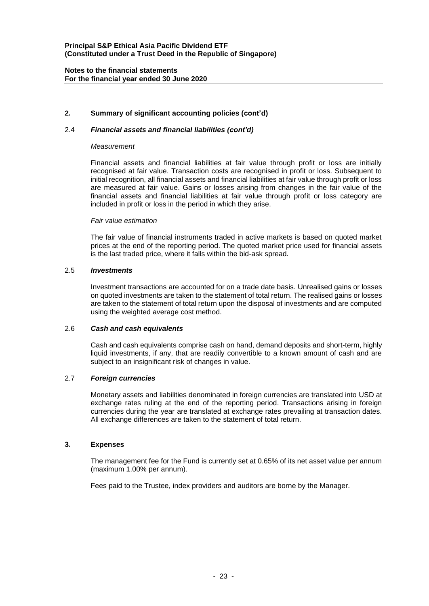### **Notes to the financial statements For the financial year ended 30 June 2020**

# **2. Summary of significant accounting policies (cont'd)**

# 2.4 *Financial assets and financial liabilities (cont'd)*

### *Measurement*

Financial assets and financial liabilities at fair value through profit or loss are initially recognised at fair value. Transaction costs are recognised in profit or loss. Subsequent to initial recognition, all financial assets and financial liabilities at fair value through profit or loss are measured at fair value. Gains or losses arising from changes in the fair value of the financial assets and financial liabilities at fair value through profit or loss category are included in profit or loss in the period in which they arise.

### *Fair value estimation*

The fair value of financial instruments traded in active markets is based on quoted market prices at the end of the reporting period. The quoted market price used for financial assets is the last traded price, where it falls within the bid-ask spread.

### 2.5 *Investments*

Investment transactions are accounted for on a trade date basis. Unrealised gains or losses on quoted investments are taken to the statement of total return. The realised gains or losses are taken to the statement of total return upon the disposal of investments and are computed using the weighted average cost method.

### 2.6 *Cash and cash equivalents*

Cash and cash equivalents comprise cash on hand, demand deposits and short-term, highly liquid investments, if any, that are readily convertible to a known amount of cash and are subject to an insignificant risk of changes in value.

# 2.7 *Foreign currencies*

Monetary assets and liabilities denominated in foreign currencies are translated into USD at exchange rates ruling at the end of the reporting period. Transactions arising in foreign currencies during the year are translated at exchange rates prevailing at transaction dates. All exchange differences are taken to the statement of total return.

#### **3. Expenses**

The management fee for the Fund is currently set at 0.65% of its net asset value per annum (maximum 1.00% per annum).

Fees paid to the Trustee, index providers and auditors are borne by the Manager.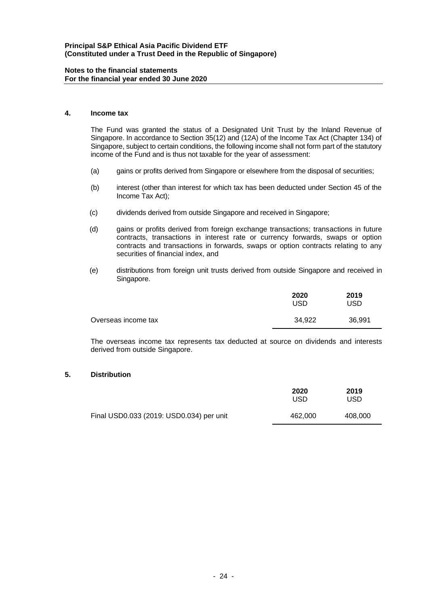#### **Notes to the financial statements For the financial year ended 30 June 2020**

#### **4. Income tax**

The Fund was granted the status of a Designated Unit Trust by the Inland Revenue of Singapore. In accordance to Section 35(12) and (12A) of the Income Tax Act (Chapter 134) of Singapore, subject to certain conditions, the following income shall not form part of the statutory income of the Fund and is thus not taxable for the year of assessment:

- (a) gains or profits derived from Singapore or elsewhere from the disposal of securities;
- (b) interest (other than interest for which tax has been deducted under Section 45 of the Income Tax Act);
- (c) dividends derived from outside Singapore and received in Singapore;
- (d) gains or profits derived from foreign exchange transactions; transactions in future contracts, transactions in interest rate or currency forwards, swaps or option contracts and transactions in forwards, swaps or option contracts relating to any securities of financial index, and
- (e) distributions from foreign unit trusts derived from outside Singapore and received in Singapore.

|                     | 2020<br>USD | 2019<br>USD |
|---------------------|-------------|-------------|
| Overseas income tax | 34,922      | 36,991      |

The overseas income tax represents tax deducted at source on dividends and interests derived from outside Singapore.

#### **5. Distribution**

|                                          | 2020<br>USD | 2019<br>USD |
|------------------------------------------|-------------|-------------|
| Final USD0.033 (2019: USD0.034) per unit | 462.000     | 408,000     |
|                                          |             |             |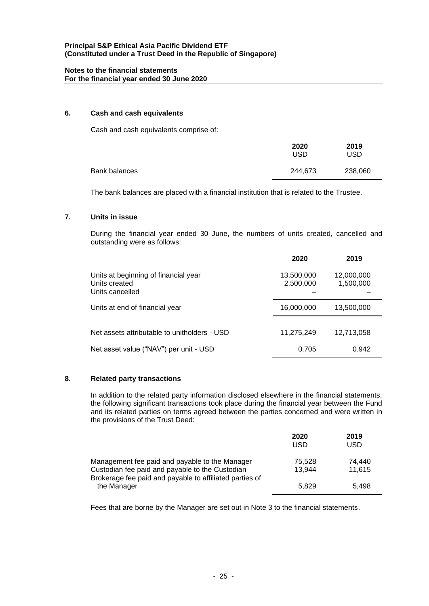### **Notes to the financial statements For the financial year ended 30 June 2020**

### **6. Cash and cash equivalents**

Cash and cash equivalents comprise of:

|               | 2020<br><b>USD</b> | 2019<br><b>USD</b> |
|---------------|--------------------|--------------------|
| Bank balances | 244,673            | 238,060            |

The bank balances are placed with a financial institution that is related to the Trustee.

# **7. Units in issue**

During the financial year ended 30 June, the numbers of units created, cancelled and outstanding were as follows:

|                                                                          | 2020                    | 2019                    |  |
|--------------------------------------------------------------------------|-------------------------|-------------------------|--|
| Units at beginning of financial year<br>Units created<br>Units cancelled | 13,500,000<br>2,500,000 | 12,000,000<br>1,500,000 |  |
| Units at end of financial year                                           | 16,000,000              | 13,500,000              |  |
| Net assets attributable to unitholders - USD                             | 11,275,249              | 12,713,058              |  |
| Net asset value ("NAV") per unit - USD                                   | 0.705                   | 0.942                   |  |

### **8. Related party transactions**

In addition to the related party information disclosed elsewhere in the financial statements, the following significant transactions took place during the financial year between the Fund and its related parties on terms agreed between the parties concerned and were written in the provisions of the Trust Deed:

|                                                                                                            | 2020<br>USD | 2019<br><b>USD</b> |
|------------------------------------------------------------------------------------------------------------|-------------|--------------------|
| Management fee paid and payable to the Manager                                                             | 75.528      | 74.440             |
| Custodian fee paid and payable to the Custodian<br>Brokerage fee paid and payable to affiliated parties of | 13.944      | 11.615             |
| the Manager                                                                                                | 5.829       | 5.498              |

Fees that are borne by the Manager are set out in Note 3 to the financial statements.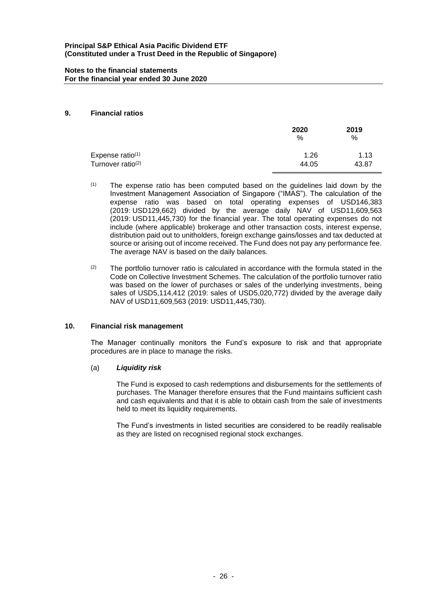#### **Notes to the financial statements For the financial year ended 30 June 2020**

# **9. Financial ratios**

|                               | 2020  | 2019  |
|-------------------------------|-------|-------|
|                               | %     | %     |
| Expense ratio <sup>(1)</sup>  | 1.26  | 1.13  |
| Turnover ratio <sup>(2)</sup> | 44.05 | 43.87 |

- $(1)$  The expense ratio has been computed based on the guidelines laid down by the Investment Management Association of Singapore ("IMAS"). The calculation of the expense ratio was based on total operating expenses of USD146,383 (2019: USD129,662) divided by the average daily NAV of USD11,609,563 (2019: USD11,445,730) for the financial year. The total operating expenses do not include (where applicable) brokerage and other transaction costs, interest expense, distribution paid out to unitholders, foreign exchange gains/losses and tax deducted at source or arising out of income received. The Fund does not pay any performance fee. The average NAV is based on the daily balances.
- $(2)$  The portfolio turnover ratio is calculated in accordance with the formula stated in the Code on Collective Investment Schemes. The calculation of the portfolio turnover ratio was based on the lower of purchases or sales of the underlying investments, being sales of USD5,114,412 (2019: sales of USD5,020,772) divided by the average daily NAV of USD11,609,563 (2019: USD11,445,730).

### **10. Financial risk management**

The Manager continually monitors the Fund's exposure to risk and that appropriate procedures are in place to manage the risks.

#### (a) *Liquidity risk*

The Fund is exposed to cash redemptions and disbursements for the settlements of purchases. The Manager therefore ensures that the Fund maintains sufficient cash and cash equivalents and that it is able to obtain cash from the sale of investments held to meet its liquidity requirements.

The Fund's investments in Iisted securities are considered to be readily realisable as they are listed on recognised regional stock exchanges.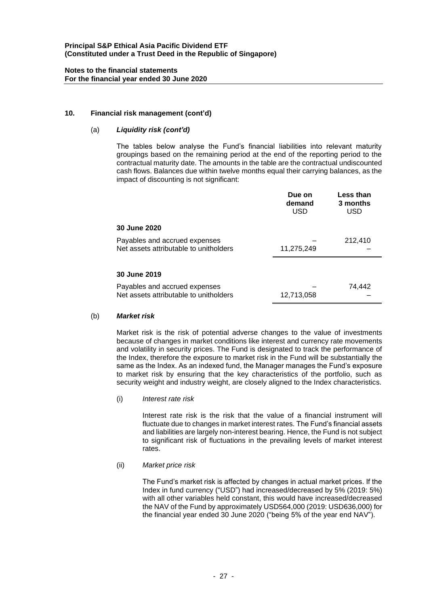### **Notes to the financial statements For the financial year ended 30 June 2020**

### **10. Financial risk management (cont'd)**

# (a) *Liquidity risk (cont'd)*

The tables below analyse the Fund's financial liabilities into relevant maturity groupings based on the remaining period at the end of the reporting period to the contractual maturity date. The amounts in the table are the contractual undiscounted cash flows. Balances due within twelve months equal their carrying balances, as the impact of discounting is not significant:

|                                                                         | Due on<br>demand<br>USD | Less than<br>3 months<br>USD |
|-------------------------------------------------------------------------|-------------------------|------------------------------|
| 30 June 2020                                                            |                         |                              |
| Payables and accrued expenses<br>Net assets attributable to unitholders | 11,275,249              | 212,410                      |
|                                                                         |                         |                              |
| 30 June 2019                                                            |                         |                              |
| Payables and accrued expenses                                           |                         | 74,442                       |
| Net assets attributable to unitholders                                  | 12,713,058              |                              |

#### (b) *Market risk*

Market risk is the risk of potential adverse changes to the value of investments because of changes in market conditions like interest and currency rate movements and volatility in security prices. The Fund is designated to track the performance of the Index, therefore the exposure to market risk in the Fund will be substantially the same as the Index. As an indexed fund, the Manager manages the Fund's exposure to market risk by ensuring that the key characteristics of the portfolio, such as security weight and industry weight, are closely aligned to the Index characteristics.

(i) *Interest rate risk*

Interest rate risk is the risk that the value of a financial instrument will fluctuate due to changes in market interest rates. The Fund's financial assets and liabilities are largely non-interest bearing. Hence, the Fund is not subject to significant risk of fluctuations in the prevailing levels of market interest rates.

(ii) *Market price risk*

The Fund's market risk is affected by changes in actual market prices. If the Index in fund currency ("USD") had increased/decreased by 5% (2019: 5%) with all other variables held constant, this would have increased/decreased the NAV of the Fund by approximately USD564,000 (2019: USD636,000) for the financial year ended 30 June 2020 ("being 5% of the year end NAV").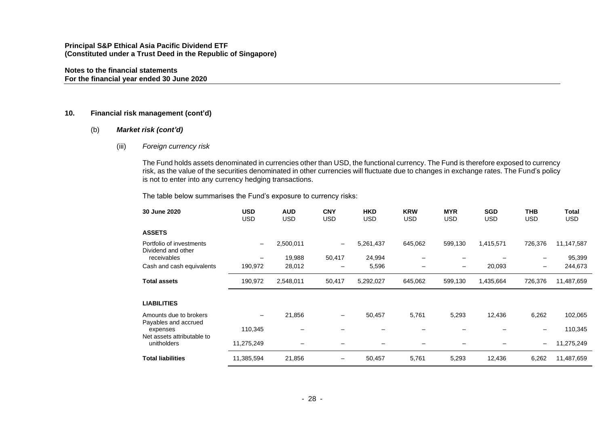**Notes to the financial statements For the financial year ended 30 June 2020**

### **10. Financial risk management (cont'd)**

#### (b) *Market risk (cont'd)*

### (iii) *Foreign currency risk*

The Fund holds assets denominated in currencies other than USD, the functional currency. The Fund is therefore exposed to currency risk, as the value of the securities denominated in other currencies will fluctuate due to changes in exchange rates. The Fund's policy is not to enter into any currency hedging transactions.

The table below summarises the Fund's exposure to currency risks:

| <b>30 June 2020</b>                            | <b>USD</b><br><b>USD</b> | <b>AUD</b><br>USD | <b>CNY</b><br>USD        | <b>HKD</b><br><b>USD</b> | <b>KRW</b><br><b>USD</b> | <b>MYR</b><br><b>USD</b> | <b>SGD</b><br>USD | THB<br>USD               | <b>Total</b><br><b>USD</b> |
|------------------------------------------------|--------------------------|-------------------|--------------------------|--------------------------|--------------------------|--------------------------|-------------------|--------------------------|----------------------------|
| ASSETS                                         |                          |                   |                          |                          |                          |                          |                   |                          |                            |
| Portfolio of investments<br>Dividend and other |                          | 2,500,011         | $\overline{\phantom{m}}$ | 5,261,437                | 645,062                  | 599,130                  | 1,415,571         | 726,376                  | 11,147,587                 |
| receivables                                    |                          | 19,988            | 50,417                   | 24,994                   |                          |                          |                   |                          | 95,399                     |
| Cash and cash equivalents                      | 190,972                  | 28,012            |                          | 5,596                    |                          |                          | 20,093            | $\overline{\phantom{0}}$ | 244,673                    |
| <b>Total assets</b>                            | 190,972                  | 2,548,011         | 50,417                   | 5,292,027                | 645,062                  | 599,130                  | 1,435,664         | 726,376                  | 11,487,659                 |
| <b>LIABILITIES</b>                             |                          |                   |                          |                          |                          |                          |                   |                          |                            |
| Amounts due to brokers<br>Payables and accrued |                          | 21,856            | -                        | 50,457                   | 5,761                    | 5,293                    | 12,436            | 6,262                    | 102,065                    |
| expenses                                       | 110,345                  |                   |                          |                          |                          |                          |                   | -                        | 110,345                    |
| Net assets attributable to<br>unitholders      | 11,275,249               |                   |                          |                          |                          |                          |                   | $\overline{\phantom{0}}$ | 11,275,249                 |
| <b>Total liabilities</b>                       | 11,385,594               | 21,856            |                          | 50,457                   | 5,761                    | 5,293                    | 12,436            | 6,262                    | 11,487,659                 |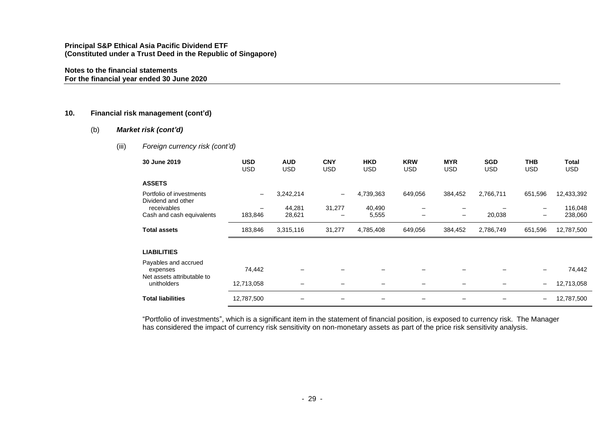**Notes to the financial statements For the financial year ended 30 June 2020**

# **10. Financial risk management (cont'd)**

#### (b) *Market risk (cont'd)*

### (iii) *Foreign currency risk (cont'd)*

| 30 June 2019                                   | <b>USD</b><br>USD | <b>AUD</b><br><b>USD</b> | <b>CNY</b><br><b>USD</b> | <b>HKD</b><br><b>USD</b> | <b>KRW</b><br><b>USD</b> | <b>MYR</b><br><b>USD</b> | <b>SGD</b><br><b>USD</b> | <b>THB</b><br><b>USD</b> | <b>Total</b><br><b>USD</b> |
|------------------------------------------------|-------------------|--------------------------|--------------------------|--------------------------|--------------------------|--------------------------|--------------------------|--------------------------|----------------------------|
| <b>ASSETS</b>                                  |                   |                          |                          |                          |                          |                          |                          |                          |                            |
| Portfolio of investments<br>Dividend and other | -                 | 3,242,214                | $\qquad \qquad -$        | 4,739,363                | 649,056                  | 384,452                  | 2,766,711                | 651,596                  | 12,433,392                 |
| receivables                                    |                   | 44,281                   | 31,277                   | 40,490                   |                          |                          |                          | -                        | 116,048                    |
| Cash and cash equivalents                      | 183,846           | 28,621                   |                          | 5,555                    |                          | $\qquad \qquad -$        | 20,038                   | $\qquad \qquad -$        | 238,060                    |
| <b>Total assets</b>                            | 183,846           | 3,315,116                | 31,277                   | 4,785,408                | 649,056                  | 384,452                  | 2,786,749                | 651,596                  | 12,787,500                 |
|                                                |                   |                          |                          |                          |                          |                          |                          |                          |                            |
| <b>LIABILITIES</b>                             |                   |                          |                          |                          |                          |                          |                          |                          |                            |
| Payables and accrued<br>expenses               | 74,442            |                          |                          |                          |                          |                          |                          |                          | 74,442                     |
| Net assets attributable to<br>unitholders      | 12,713,058        |                          |                          |                          |                          |                          |                          | $\overline{\phantom{m}}$ | 12,713,058                 |
| <b>Total liabilities</b>                       | 12,787,500        |                          |                          |                          |                          |                          |                          | -                        | 12,787,500                 |

"Portfolio of investments", which is a significant item in the statement of financial position, is exposed to currency risk. The Manager has considered the impact of currency risk sensitivity on non-monetary assets as part of the price risk sensitivity analysis.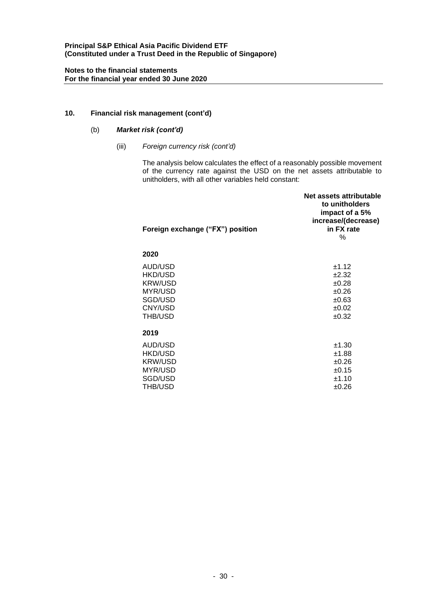# **Notes to the financial statements For the financial year ended 30 June 2020**

# **10. Financial risk management (cont'd)**

### (b) *Market risk (cont'd)*

(iii) *Foreign currency risk (cont'd)*

The analysis below calculates the effect of a reasonably possible movement of the currency rate against the USD on the net assets attributable to unitholders, with all other variables held constant:

| Foreign exchange ("FX") position | Net assets attributable<br>to unitholders<br>impact of a 5%<br>increase/(decrease)<br>in FX rate<br>% |
|----------------------------------|-------------------------------------------------------------------------------------------------------|
| 2020                             |                                                                                                       |
| AUD/USD                          | ±1.12                                                                                                 |
| HKD/USD                          | ±2.32                                                                                                 |
| <b>KRW/USD</b><br>MYR/USD        | ±0.28<br>±0.26                                                                                        |
| SGD/USD                          | ±0.63                                                                                                 |
| CNY/USD                          | ±0.02                                                                                                 |
| THB/USD                          | ±0.32                                                                                                 |
| 2019                             |                                                                                                       |
| AUD/USD                          | ±1.30                                                                                                 |
| HKD/USD                          | ±1.88                                                                                                 |
| <b>KRW/USD</b>                   | ±0.26                                                                                                 |
| MYR/USD<br>SGD/USD               | ±0.15<br>±1.10                                                                                        |
| THB/USD                          | ±0.26                                                                                                 |
|                                  |                                                                                                       |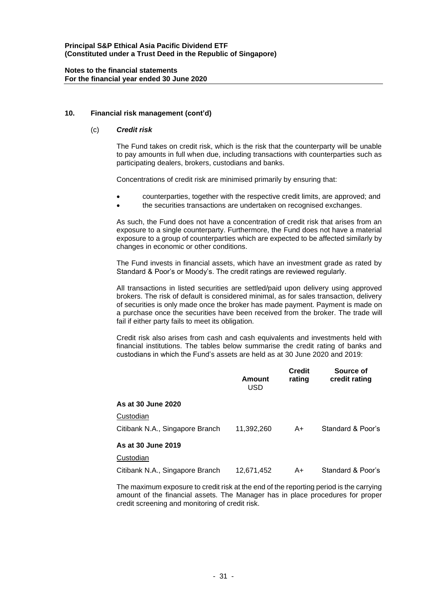### **Notes to the financial statements For the financial year ended 30 June 2020**

### **10. Financial risk management (cont'd)**

### (c) *Credit risk*

The Fund takes on credit risk, which is the risk that the counterparty will be unable to pay amounts in full when due, including transactions with counterparties such as participating dealers, brokers, custodians and banks.

Concentrations of credit risk are minimised primarily by ensuring that:

- counterparties, together with the respective credit limits, are approved; and
- the securities transactions are undertaken on recognised exchanges.

As such, the Fund does not have a concentration of credit risk that arises from an exposure to a single counterparty. Furthermore, the Fund does not have a material exposure to a group of counterparties which are expected to be affected similarly by changes in economic or other conditions.

The Fund invests in financial assets, which have an investment grade as rated by Standard & Poor's or Moody's. The credit ratings are reviewed regularly.

All transactions in listed securities are settled/paid upon delivery using approved brokers. The risk of default is considered minimal, as for sales transaction, delivery of securities is only made once the broker has made payment. Payment is made on a purchase once the securities have been received from the broker. The trade will fail if either party fails to meet its obligation.

Credit risk also arises from cash and cash equivalents and investments held with financial institutions. The tables below summarise the credit rating of banks and custodians in which the Fund's assets are held as at 30 June 2020 and 2019:

|                                 | Amount<br>USD | Credit<br>rating | Source of<br>credit rating |
|---------------------------------|---------------|------------------|----------------------------|
| As at 30 June 2020              |               |                  |                            |
| Custodian                       |               |                  |                            |
| Citibank N.A., Singapore Branch | 11,392,260    | A+               | Standard & Poor's          |
| As at 30 June 2019              |               |                  |                            |
| Custodian                       |               |                  |                            |
| Citibank N.A., Singapore Branch | 12,671,452    | A+               | Standard & Poor's          |

The maximum exposure to credit risk at the end of the reporting period is the carrying amount of the financial assets. The Manager has in place procedures for proper credit screening and monitoring of credit risk.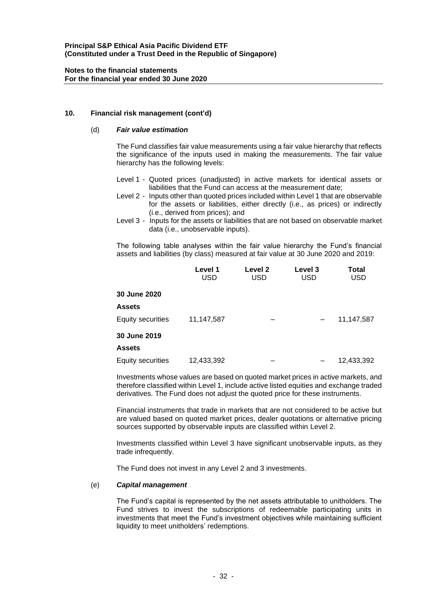### **Notes to the financial statements For the financial year ended 30 June 2020**

### **10. Financial risk management (cont'd)**

### (d) *Fair value estimation*

The Fund classifies fair value measurements using a fair value hierarchy that reflects the significance of the inputs used in making the measurements. The fair value hierarchy has the following levels:

- Level 1 Quoted prices (unadjusted) in active markets for identical assets or liabilities that the Fund can access at the measurement date;
- Level 2 Inputs other than quoted prices included within Level 1 that are observable for the assets or liabilities, either directly (i.e., as prices) or indirectly (i.e., derived from prices); and
- Level 3 Inputs for the assets or liabilities that are not based on observable market data (i.e., unobservable inputs).

The following table analyses within the fair value hierarchy the Fund's financial assets and liabilities (by class) measured at fair value at 30 June 2020 and 2019:

|                   | Level 1<br><b>USD</b> | Level 2<br>USD | Level 3<br><b>USD</b> | Total<br><b>USD</b> |
|-------------------|-----------------------|----------------|-----------------------|---------------------|
| 30 June 2020      |                       |                |                       |                     |
| <b>Assets</b>     |                       |                |                       |                     |
| Equity securities | 11,147,587            |                |                       | 11,147,587          |
| 30 June 2019      |                       |                |                       |                     |
| <b>Assets</b>     |                       |                |                       |                     |
| Equity securities | 12,433,392            |                |                       | 12,433,392          |

Investments whose values are based on quoted market prices in active markets, and therefore classified within Level 1, include active listed equities and exchange traded derivatives. The Fund does not adjust the quoted price for these instruments.

Financial instruments that trade in markets that are not considered to be active but are valued based on quoted market prices, dealer quotations or alternative pricing sources supported by observable inputs are classified within Level 2.

Investments classified within Level 3 have significant unobservable inputs, as they trade infrequently.

The Fund does not invest in any Level 2 and 3 investments.

#### (e) *Capital management*

The Fund's capital is represented by the net assets attributable to unitholders. The Fund strives to invest the subscriptions of redeemable participating units in investments that meet the Fund's investment objectives while maintaining sufficient liquidity to meet unitholders' redemptions.